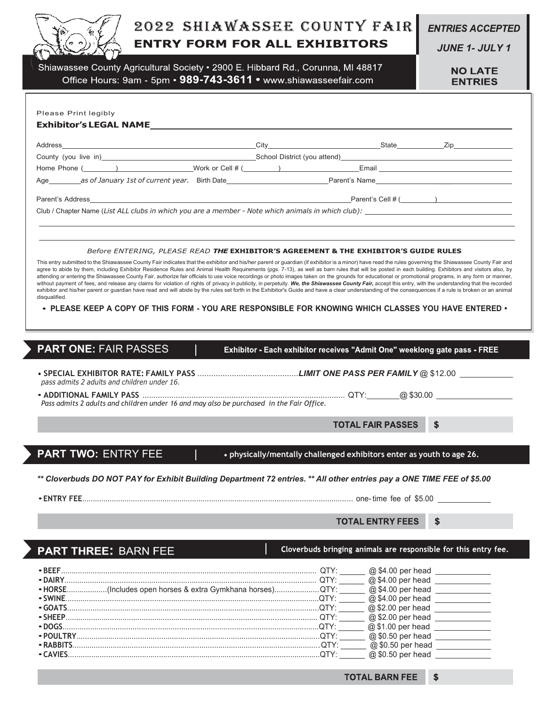

## 2022 SHIAWASSEE COUNTY FAIR **ENTRY FORM FOR ALL EXHIBITORS**

Shiawassee County Agricultural Society . 2900 E. Hibbard Rd., Corunna, MI 48817 Office Hours: 9am - 5pm • 989-743-3611 • www.shiawasseefair.com

**ENTRIES ACCEPTED** 

*JUNE 1- JULY 1*

**NO LATE ENTRIES** 

| County (you live in) example and the set of the School District (you attend)<br>Home Phone (Changelet Comparison of Cell # (Changelet Comparison of Cell # (Changelet Comparison of Cell # (Changelet Comparison of Cell # (Changelet Comparison of Cell # (Changelet Comparison of Cell # (Changelet Comparis<br>Age as of January 1st of current year. Birth Date <b>Canada Community Community Community</b> Parent's Name<br>Before ENTERING, PLEASE READ THE EXHIBITOR'S AGREEMENT & THE EXHIBITOR'S GUIDE RULES<br>This entry submitted to the Shiawassee County Fair indicates that the exhibitor and his/her parent or guardian (if exhibitor is a minor) have read the rules governing the Shiawassee County Fair and<br>agree to abide by them, including Exhibitor Residence Rules and Animal Health Requirements (pgs. 7-13), as well as barn rules that will be posted in each building. Exhibitors and visitors also, by<br>attending or entering the Shiawassee County Fair, authorize fair officials to use voice recordings or photo images taken on the grounds for educational or promotional programs, in any form or manner,<br>without payment of fees, and release any claims for violation of rights of privacy in publicity, in perpetuity. We, the Shiawassee County Fair, accept this entry, with the understanding that the recorded<br>exhibitor and his/her parent or guardian have read and will abide by the rules set forth in the Exhibitor's Guide and have a clear understanding of the consequences if a rule is broken or an animal<br>$\bullet$ PLEASE KEEP A COPY OF THIS FORM - YOU ARE RESPONSIBLE FOR KNOWING WHICH CLASSES YOU HAVE ENTERED $\bullet$<br><b>PART ONE: FAIR PASSES</b><br>Exhibitor - Each exhibitor receives "Admit One" weeklong gate pass - FREE<br>pass admits 2 adults and children under 16.<br>Pass admits 2 adults and children under 16 and may also be purchased in the Fair Office.<br><b>TOTAL FAIR PASSES</b><br>$\boldsymbol{\mathsf{s}}$<br><b>PART TWO: ENTRY FEE</b><br>$\mathbf{L}$<br>. physically/mentally challenged exhibitors enter as youth to age 26.<br>** Cloverbuds DO NOT PAY for Exhibit Building Department 72 entries. ** All other entries pay a ONE TIME FEE of \$5.00<br><b>TOTAL ENTRY FEES</b><br>\$<br>Cloverbuds bringing animals are responsible for this entry fee.<br><b>PART THREE: BARN FEE</b><br>• HORSE(Includes open horses & extra Gymkhana horses)QTY:<br>$@$ \$4.00 per head<br>@\$4.00 per head ______________<br>@\$1.00 per head _____________<br>@\$0.50 per head _____________<br>@\$0.50 per head |               |  |  |  |
|-----------------------------------------------------------------------------------------------------------------------------------------------------------------------------------------------------------------------------------------------------------------------------------------------------------------------------------------------------------------------------------------------------------------------------------------------------------------------------------------------------------------------------------------------------------------------------------------------------------------------------------------------------------------------------------------------------------------------------------------------------------------------------------------------------------------------------------------------------------------------------------------------------------------------------------------------------------------------------------------------------------------------------------------------------------------------------------------------------------------------------------------------------------------------------------------------------------------------------------------------------------------------------------------------------------------------------------------------------------------------------------------------------------------------------------------------------------------------------------------------------------------------------------------------------------------------------------------------------------------------------------------------------------------------------------------------------------------------------------------------------------------------------------------------------------------------------------------------------------------------------------------------------------------------------------------------------------------------------------------------------------------------------------------------------------------------------------------------------------------------------------------------------------------------------------------------------------------------------------------------------------------------------------------------------------------------------------------------------------------------------------------------------------------------------------------------------------------------------------------------------------------------------------------------------------------------------------------------------------------------|---------------|--|--|--|
|                                                                                                                                                                                                                                                                                                                                                                                                                                                                                                                                                                                                                                                                                                                                                                                                                                                                                                                                                                                                                                                                                                                                                                                                                                                                                                                                                                                                                                                                                                                                                                                                                                                                                                                                                                                                                                                                                                                                                                                                                                                                                                                                                                                                                                                                                                                                                                                                                                                                                                                                                                                                                       |               |  |  |  |
|                                                                                                                                                                                                                                                                                                                                                                                                                                                                                                                                                                                                                                                                                                                                                                                                                                                                                                                                                                                                                                                                                                                                                                                                                                                                                                                                                                                                                                                                                                                                                                                                                                                                                                                                                                                                                                                                                                                                                                                                                                                                                                                                                                                                                                                                                                                                                                                                                                                                                                                                                                                                                       |               |  |  |  |
|                                                                                                                                                                                                                                                                                                                                                                                                                                                                                                                                                                                                                                                                                                                                                                                                                                                                                                                                                                                                                                                                                                                                                                                                                                                                                                                                                                                                                                                                                                                                                                                                                                                                                                                                                                                                                                                                                                                                                                                                                                                                                                                                                                                                                                                                                                                                                                                                                                                                                                                                                                                                                       |               |  |  |  |
|                                                                                                                                                                                                                                                                                                                                                                                                                                                                                                                                                                                                                                                                                                                                                                                                                                                                                                                                                                                                                                                                                                                                                                                                                                                                                                                                                                                                                                                                                                                                                                                                                                                                                                                                                                                                                                                                                                                                                                                                                                                                                                                                                                                                                                                                                                                                                                                                                                                                                                                                                                                                                       |               |  |  |  |
|                                                                                                                                                                                                                                                                                                                                                                                                                                                                                                                                                                                                                                                                                                                                                                                                                                                                                                                                                                                                                                                                                                                                                                                                                                                                                                                                                                                                                                                                                                                                                                                                                                                                                                                                                                                                                                                                                                                                                                                                                                                                                                                                                                                                                                                                                                                                                                                                                                                                                                                                                                                                                       |               |  |  |  |
|                                                                                                                                                                                                                                                                                                                                                                                                                                                                                                                                                                                                                                                                                                                                                                                                                                                                                                                                                                                                                                                                                                                                                                                                                                                                                                                                                                                                                                                                                                                                                                                                                                                                                                                                                                                                                                                                                                                                                                                                                                                                                                                                                                                                                                                                                                                                                                                                                                                                                                                                                                                                                       |               |  |  |  |
|                                                                                                                                                                                                                                                                                                                                                                                                                                                                                                                                                                                                                                                                                                                                                                                                                                                                                                                                                                                                                                                                                                                                                                                                                                                                                                                                                                                                                                                                                                                                                                                                                                                                                                                                                                                                                                                                                                                                                                                                                                                                                                                                                                                                                                                                                                                                                                                                                                                                                                                                                                                                                       |               |  |  |  |
|                                                                                                                                                                                                                                                                                                                                                                                                                                                                                                                                                                                                                                                                                                                                                                                                                                                                                                                                                                                                                                                                                                                                                                                                                                                                                                                                                                                                                                                                                                                                                                                                                                                                                                                                                                                                                                                                                                                                                                                                                                                                                                                                                                                                                                                                                                                                                                                                                                                                                                                                                                                                                       | disqualified. |  |  |  |
|                                                                                                                                                                                                                                                                                                                                                                                                                                                                                                                                                                                                                                                                                                                                                                                                                                                                                                                                                                                                                                                                                                                                                                                                                                                                                                                                                                                                                                                                                                                                                                                                                                                                                                                                                                                                                                                                                                                                                                                                                                                                                                                                                                                                                                                                                                                                                                                                                                                                                                                                                                                                                       |               |  |  |  |
|                                                                                                                                                                                                                                                                                                                                                                                                                                                                                                                                                                                                                                                                                                                                                                                                                                                                                                                                                                                                                                                                                                                                                                                                                                                                                                                                                                                                                                                                                                                                                                                                                                                                                                                                                                                                                                                                                                                                                                                                                                                                                                                                                                                                                                                                                                                                                                                                                                                                                                                                                                                                                       |               |  |  |  |
|                                                                                                                                                                                                                                                                                                                                                                                                                                                                                                                                                                                                                                                                                                                                                                                                                                                                                                                                                                                                                                                                                                                                                                                                                                                                                                                                                                                                                                                                                                                                                                                                                                                                                                                                                                                                                                                                                                                                                                                                                                                                                                                                                                                                                                                                                                                                                                                                                                                                                                                                                                                                                       |               |  |  |  |
|                                                                                                                                                                                                                                                                                                                                                                                                                                                                                                                                                                                                                                                                                                                                                                                                                                                                                                                                                                                                                                                                                                                                                                                                                                                                                                                                                                                                                                                                                                                                                                                                                                                                                                                                                                                                                                                                                                                                                                                                                                                                                                                                                                                                                                                                                                                                                                                                                                                                                                                                                                                                                       |               |  |  |  |
|                                                                                                                                                                                                                                                                                                                                                                                                                                                                                                                                                                                                                                                                                                                                                                                                                                                                                                                                                                                                                                                                                                                                                                                                                                                                                                                                                                                                                                                                                                                                                                                                                                                                                                                                                                                                                                                                                                                                                                                                                                                                                                                                                                                                                                                                                                                                                                                                                                                                                                                                                                                                                       |               |  |  |  |
|                                                                                                                                                                                                                                                                                                                                                                                                                                                                                                                                                                                                                                                                                                                                                                                                                                                                                                                                                                                                                                                                                                                                                                                                                                                                                                                                                                                                                                                                                                                                                                                                                                                                                                                                                                                                                                                                                                                                                                                                                                                                                                                                                                                                                                                                                                                                                                                                                                                                                                                                                                                                                       |               |  |  |  |
|                                                                                                                                                                                                                                                                                                                                                                                                                                                                                                                                                                                                                                                                                                                                                                                                                                                                                                                                                                                                                                                                                                                                                                                                                                                                                                                                                                                                                                                                                                                                                                                                                                                                                                                                                                                                                                                                                                                                                                                                                                                                                                                                                                                                                                                                                                                                                                                                                                                                                                                                                                                                                       |               |  |  |  |
|                                                                                                                                                                                                                                                                                                                                                                                                                                                                                                                                                                                                                                                                                                                                                                                                                                                                                                                                                                                                                                                                                                                                                                                                                                                                                                                                                                                                                                                                                                                                                                                                                                                                                                                                                                                                                                                                                                                                                                                                                                                                                                                                                                                                                                                                                                                                                                                                                                                                                                                                                                                                                       |               |  |  |  |
|                                                                                                                                                                                                                                                                                                                                                                                                                                                                                                                                                                                                                                                                                                                                                                                                                                                                                                                                                                                                                                                                                                                                                                                                                                                                                                                                                                                                                                                                                                                                                                                                                                                                                                                                                                                                                                                                                                                                                                                                                                                                                                                                                                                                                                                                                                                                                                                                                                                                                                                                                                                                                       |               |  |  |  |
|                                                                                                                                                                                                                                                                                                                                                                                                                                                                                                                                                                                                                                                                                                                                                                                                                                                                                                                                                                                                                                                                                                                                                                                                                                                                                                                                                                                                                                                                                                                                                                                                                                                                                                                                                                                                                                                                                                                                                                                                                                                                                                                                                                                                                                                                                                                                                                                                                                                                                                                                                                                                                       |               |  |  |  |
|                                                                                                                                                                                                                                                                                                                                                                                                                                                                                                                                                                                                                                                                                                                                                                                                                                                                                                                                                                                                                                                                                                                                                                                                                                                                                                                                                                                                                                                                                                                                                                                                                                                                                                                                                                                                                                                                                                                                                                                                                                                                                                                                                                                                                                                                                                                                                                                                                                                                                                                                                                                                                       |               |  |  |  |
|                                                                                                                                                                                                                                                                                                                                                                                                                                                                                                                                                                                                                                                                                                                                                                                                                                                                                                                                                                                                                                                                                                                                                                                                                                                                                                                                                                                                                                                                                                                                                                                                                                                                                                                                                                                                                                                                                                                                                                                                                                                                                                                                                                                                                                                                                                                                                                                                                                                                                                                                                                                                                       |               |  |  |  |
|                                                                                                                                                                                                                                                                                                                                                                                                                                                                                                                                                                                                                                                                                                                                                                                                                                                                                                                                                                                                                                                                                                                                                                                                                                                                                                                                                                                                                                                                                                                                                                                                                                                                                                                                                                                                                                                                                                                                                                                                                                                                                                                                                                                                                                                                                                                                                                                                                                                                                                                                                                                                                       |               |  |  |  |
|                                                                                                                                                                                                                                                                                                                                                                                                                                                                                                                                                                                                                                                                                                                                                                                                                                                                                                                                                                                                                                                                                                                                                                                                                                                                                                                                                                                                                                                                                                                                                                                                                                                                                                                                                                                                                                                                                                                                                                                                                                                                                                                                                                                                                                                                                                                                                                                                                                                                                                                                                                                                                       |               |  |  |  |
|                                                                                                                                                                                                                                                                                                                                                                                                                                                                                                                                                                                                                                                                                                                                                                                                                                                                                                                                                                                                                                                                                                                                                                                                                                                                                                                                                                                                                                                                                                                                                                                                                                                                                                                                                                                                                                                                                                                                                                                                                                                                                                                                                                                                                                                                                                                                                                                                                                                                                                                                                                                                                       |               |  |  |  |
|                                                                                                                                                                                                                                                                                                                                                                                                                                                                                                                                                                                                                                                                                                                                                                                                                                                                                                                                                                                                                                                                                                                                                                                                                                                                                                                                                                                                                                                                                                                                                                                                                                                                                                                                                                                                                                                                                                                                                                                                                                                                                                                                                                                                                                                                                                                                                                                                                                                                                                                                                                                                                       |               |  |  |  |
|                                                                                                                                                                                                                                                                                                                                                                                                                                                                                                                                                                                                                                                                                                                                                                                                                                                                                                                                                                                                                                                                                                                                                                                                                                                                                                                                                                                                                                                                                                                                                                                                                                                                                                                                                                                                                                                                                                                                                                                                                                                                                                                                                                                                                                                                                                                                                                                                                                                                                                                                                                                                                       |               |  |  |  |
|                                                                                                                                                                                                                                                                                                                                                                                                                                                                                                                                                                                                                                                                                                                                                                                                                                                                                                                                                                                                                                                                                                                                                                                                                                                                                                                                                                                                                                                                                                                                                                                                                                                                                                                                                                                                                                                                                                                                                                                                                                                                                                                                                                                                                                                                                                                                                                                                                                                                                                                                                                                                                       |               |  |  |  |
|                                                                                                                                                                                                                                                                                                                                                                                                                                                                                                                                                                                                                                                                                                                                                                                                                                                                                                                                                                                                                                                                                                                                                                                                                                                                                                                                                                                                                                                                                                                                                                                                                                                                                                                                                                                                                                                                                                                                                                                                                                                                                                                                                                                                                                                                                                                                                                                                                                                                                                                                                                                                                       |               |  |  |  |
|                                                                                                                                                                                                                                                                                                                                                                                                                                                                                                                                                                                                                                                                                                                                                                                                                                                                                                                                                                                                                                                                                                                                                                                                                                                                                                                                                                                                                                                                                                                                                                                                                                                                                                                                                                                                                                                                                                                                                                                                                                                                                                                                                                                                                                                                                                                                                                                                                                                                                                                                                                                                                       |               |  |  |  |
|                                                                                                                                                                                                                                                                                                                                                                                                                                                                                                                                                                                                                                                                                                                                                                                                                                                                                                                                                                                                                                                                                                                                                                                                                                                                                                                                                                                                                                                                                                                                                                                                                                                                                                                                                                                                                                                                                                                                                                                                                                                                                                                                                                                                                                                                                                                                                                                                                                                                                                                                                                                                                       |               |  |  |  |
|                                                                                                                                                                                                                                                                                                                                                                                                                                                                                                                                                                                                                                                                                                                                                                                                                                                                                                                                                                                                                                                                                                                                                                                                                                                                                                                                                                                                                                                                                                                                                                                                                                                                                                                                                                                                                                                                                                                                                                                                                                                                                                                                                                                                                                                                                                                                                                                                                                                                                                                                                                                                                       |               |  |  |  |
|                                                                                                                                                                                                                                                                                                                                                                                                                                                                                                                                                                                                                                                                                                                                                                                                                                                                                                                                                                                                                                                                                                                                                                                                                                                                                                                                                                                                                                                                                                                                                                                                                                                                                                                                                                                                                                                                                                                                                                                                                                                                                                                                                                                                                                                                                                                                                                                                                                                                                                                                                                                                                       |               |  |  |  |